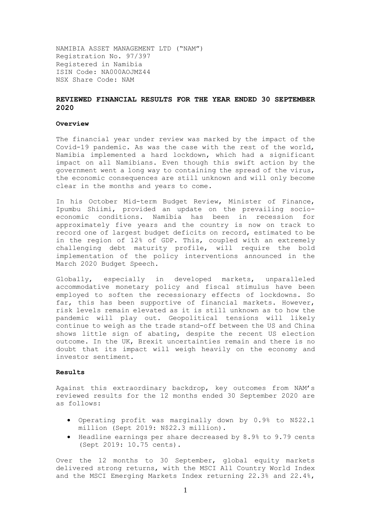NAMIBIA ASSET MANAGEMENT LTD ("NAM") Registration No. 97/397 Registered in Namibia ISIN Code: NA000AOJMZ44 NSX Share Code: NAM

## **REVIEWED FINANCIAL RESULTS FOR THE YEAR ENDED 30 SEPTEMBER 2020**

#### **Overview**

The financial year under review was marked by the impact of the Covid-19 pandemic. As was the case with the rest of the world, Namibia implemented a hard lockdown, which had a significant impact on all Namibians. Even though this swift action by the government went a long way to containing the spread of the virus, the economic consequences are still unknown and will only become clear in the months and years to come.

In his October Mid-term Budget Review, Minister of Finance, Ipumbu Shiimi, provided an update on the prevailing socioeconomic conditions. Namibia has been in recession for approximately five years and the country is now on track to record one of largest budget deficits on record, estimated to be in the region of 12% of GDP. This, coupled with an extremely challenging debt maturity profile, will require the bold implementation of the policy interventions announced in the March 2020 Budget Speech.

Globally, especially in developed markets, unparalleled accommodative monetary policy and fiscal stimulus have been employed to soften the recessionary effects of lockdowns. So far, this has been supportive of financial markets. However, risk levels remain elevated as it is still unknown as to how the pandemic will play out. Geopolitical tensions will likely continue to weigh as the trade stand-off between the US and China shows little sign of abating, despite the recent US election outcome. In the UK, Brexit uncertainties remain and there is no doubt that its impact will weigh heavily on the economy and investor sentiment.

#### **Results**

Against this extraordinary backdrop, key outcomes from NAM's reviewed results for the 12 months ended 30 September 2020 are as follows:

- Operating profit was marginally down by 0.9% to N\$22.1 million (Sept 2019: N\$22.3 million).
- Headline earnings per share decreased by 8.9% to 9.79 cents (Sept 2019: 10.75 cents).

Over the 12 months to 30 September, global equity markets delivered strong returns, with the MSCI All Country World Index and the MSCI Emerging Markets Index returning 22.3% and 22.4%,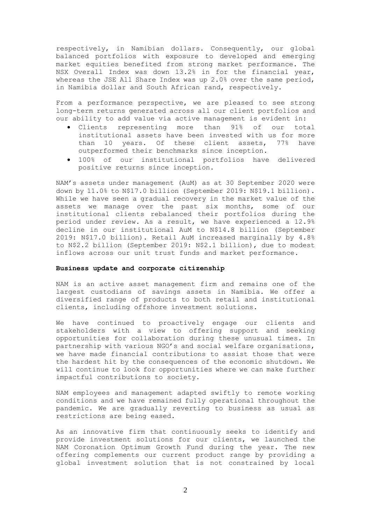respectively, in Namibian dollars. Consequently, our global balanced portfolios with exposure to developed and emerging market equities benefited from strong market performance. The NSX Overall Index was down 13.2% in for the financial year, whereas the JSE All Share Index was up 2.0% over the same period, in Namibia dollar and South African rand, respectively.

From a performance perspective, we are pleased to see strong long-term returns generated across all our client portfolios and our ability to add value via active management is evident in:

- Clients representing more than 91% of our total institutional assets have been invested with us for more than 10 years. Of these client assets, 77% have outperformed their benchmarks since inception.
- 100% of our institutional portfolios have delivered positive returns since inception.

NAM's assets under management (AuM) as at 30 September 2020 were down by 11.0% to N\$17.0 billion (September 2019: N\$19.1 billion). While we have seen a gradual recovery in the market value of the assets we manage over the past six months, some of our institutional clients rebalanced their portfolios during the period under review. As a result, we have experienced a 12.9% decline in our institutional AuM to N\$14.8 billion (September 2019: N\$17.0 billion). Retail AuM increased marginally by 4.8% to N\$2.2 billion (September 2019: N\$2.1 billion), due to modest inflows across our unit trust funds and market performance.

## **Business update and corporate citizenship**

NAM is an active asset management firm and remains one of the largest custodians of savings assets in Namibia. We offer a diversified range of products to both retail and institutional clients, including offshore investment solutions.

We have continued to proactively engage our clients and stakeholders with a view to offering support and seeking opportunities for collaboration during these unusual times. In partnership with various NGO's and social welfare organisations, we have made financial contributions to assist those that were the hardest hit by the consequences of the economic shutdown. We will continue to look for opportunities where we can make further impactful contributions to society.

NAM employees and management adapted swiftly to remote working conditions and we have remained fully operational throughout the pandemic. We are gradually reverting to business as usual as restrictions are being eased.

As an innovative firm that continuously seeks to identify and provide investment solutions for our clients, we launched the NAM Coronation Optimum Growth Fund during the year. The new offering complements our current product range by providing a global investment solution that is not constrained by local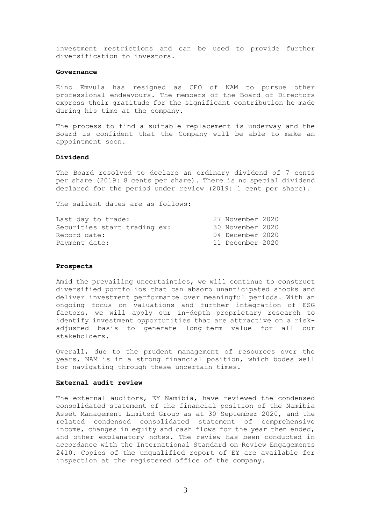investment restrictions and can be used to provide further diversification to investors.

#### **Governance**

Eino Emvula has resigned as CEO of NAM to pursue other professional endeavours. The members of the Board of Directors express their gratitude for the significant contribution he made during his time at the company.

The process to find a suitable replacement is underway and the Board is confident that the Company will be able to make an appointment soon.

### **Dividend**

The Board resolved to declare an ordinary dividend of 7 cents per share (2019: 8 cents per share). There is no special dividend declared for the period under review (2019: 1 cent per share).

The salient dates are as follows:

| Last day to trade:           | 27 November 2020 |  |
|------------------------------|------------------|--|
| Securities start trading ex: | 30 November 2020 |  |
| Record date:                 | 04 December 2020 |  |
| Payment date:                | 11 December 2020 |  |

#### **Prospects**

Amid the prevailing uncertainties, we will continue to construct diversified portfolios that can absorb unanticipated shocks and deliver investment performance over meaningful periods. With an ongoing focus on valuations and further integration of ESG factors, we will apply our in-depth proprietary research to identify investment opportunities that are attractive on a riskadjusted basis to generate long-term value for all our stakeholders.

Overall, due to the prudent management of resources over the years, NAM is in a strong financial position, which bodes well for navigating through these uncertain times.

### **External audit review**

The external auditors, EY Namibia, have reviewed the condensed consolidated statement of the financial position of the Namibia Asset Management Limited Group as at 30 September 2020, and the related condensed consolidated statement of comprehensive income, changes in equity and cash flows for the year then ended, and other explanatory notes. The review has been conducted in accordance with the International Standard on Review Engagements 2410. Copies of the unqualified report of EY are available for inspection at the registered office of the company.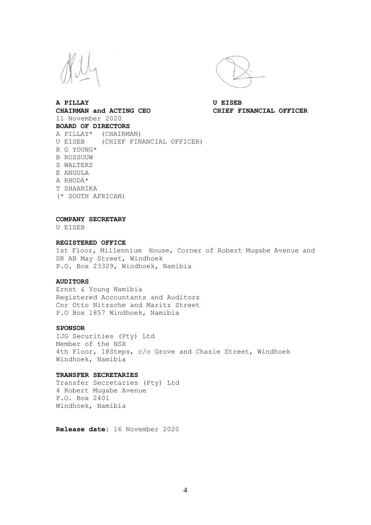

**A PILLAY U EISEB CHAIRMAN and ACTING CEO CHIEF FINANCIAL OFFICER** 11 November 2020 **BOARD OF DIRECTORS** A PILLAY\* (CHAIRMAN) U EISEB (CHIEF FINANCIAL OFFICER) R G YOUNG\* B ROSSOUW S WALTERS E ANGULA A RHODA\* T SHAANIKA (\* SOUTH AFRICAN)

**COMPANY SECRETARY** 

U EISEB

#### **REGISTERED OFFICE**

1st Floor, Millennium House, Corner of Robert Mugabe Avenue and DR AB May Street, Windhoek P.O. Box 23329, Windhoek, Namibia

#### **AUDITORS**

Ernst & Young Namibia Registered Accountants and Auditors Cnr Otto Nitzsche and Maritz Street P.O Box 1857 Windhoek, Namibia

#### **SPONSOR**

IJG Securities (Pty) Ltd Member of the NSX 4th Floor, 1@Steps, c/o Grove and Chasie Street, Windhoek Windhoek, Namibia

#### **TRANSFER SECRETARIES**

Transfer Secretaries (Pty) Ltd 4 Robert Mugabe Avenue P.O. Box 2401 Windhoek, Namibia

**Release date**: 16 November 2020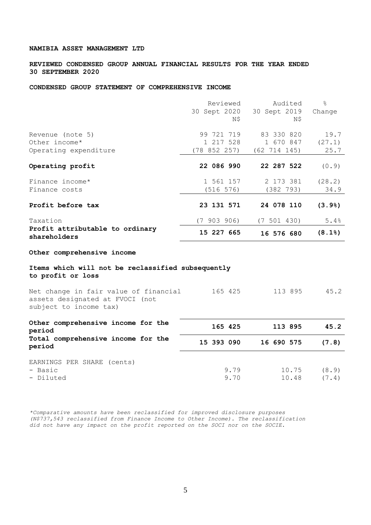**REVIEWED CONDENSED GROUP ANNUAL FINANCIAL RESULTS FOR THE YEAR ENDED 30 SEPTEMBER 2020**

## **CONDENSED GROUP STATEMENT OF COMPREHENSIVE INCOME**

|                                                   | Reviewed    | Audited                   | $\frac{6}{6}$         |
|---------------------------------------------------|-------------|---------------------------|-----------------------|
|                                                   |             | 30 Sept 2020 30 Sept 2019 | Change                |
|                                                   | N\$         | Ν\$                       |                       |
|                                                   |             |                           |                       |
| Revenue (note 5)                                  | 99 721 719  | 83 330 820                | 19.7                  |
| Other income*                                     | 1 217 528   | 1 670 847                 | (27.1)                |
| Operating expenditure                             | (78852257)  | (62 714 145)              | 25.7                  |
|                                                   |             |                           |                       |
| Operating profit                                  | 22 086 990  | 22 287 522                | (0.9)                 |
| Finance income*                                   | 1 561 157   | 2 173 381                 | (28.2)                |
| Finance costs                                     | (516 576)   | (382 793)                 | 34.9                  |
|                                                   |             |                           |                       |
| Profit before tax                                 | 23 131 571  | 24 078 110                | (3.9)                 |
| Taxation                                          | (7 903 906) | (7 501 430)               | 5.4%                  |
| Profit attributable to ordinary<br>shareholders   | 15 227 665  | 16 576 680                | $(8.1$ <sup>8</sup> ) |
| Other comprehensive income                        |             |                           |                       |
| Items which will not be reclassified subsequently |             |                           |                       |

**to profit or loss**

Net change in fair value of financial 165 425 113 895 45.2 assets designated at FVOCI (not subject to income tax)

| Other comprehensive income for the<br>period | 165 425    | 113 895    | 45.2  |
|----------------------------------------------|------------|------------|-------|
| Total comprehensive income for the<br>period | 15 393 090 | 16 690 575 | (7.8) |
| EARNINGS PER SHARE (cents)<br>- Basic        | 9.79       | 10.75      | (8.9) |
| - Diluted                                    | 9.70       | 10.48      | (7.4) |

*\*Comparative amounts have been reclassified for improved disclosure purposes (N\$737,543 reclassified from Finance Income to Other Income). The reclassification did not have any impact on the profit reported on the SOCI nor on the SOCIE.*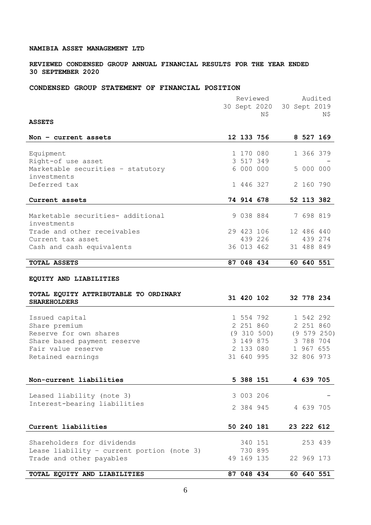## **REVIEWED CONDENSED GROUP ANNUAL FINANCIAL RESULTS FOR THE YEAR ENDED 30 SEPTEMBER 2020**

# **CONDENSED GROUP STATEMENT OF FINANCIAL POSITION**

|                                                   |            | Reviewed        |              |            | Audited     |
|---------------------------------------------------|------------|-----------------|--------------|------------|-------------|
|                                                   |            | 30 Sept 2020    | 30 Sept 2019 |            |             |
|                                                   |            | N\$             |              |            | N\$         |
| <b>ASSETS</b>                                     |            |                 |              |            |             |
|                                                   |            |                 |              |            |             |
| Non - current assets                              |            | 12 133 756      |              |            | 8 527 169   |
|                                                   |            |                 |              |            |             |
| Equipment                                         |            | 1 170 080       |              | 1 366 379  |             |
| Right-of use asset                                |            | 3 517 349       |              |            |             |
| Marketable securities - statutory                 | 6 000 000  |                 |              | 5 000 000  |             |
| investments                                       |            |                 |              |            |             |
| Deferred tax                                      |            | 1 446 327       |              | 2 160 790  |             |
| Current assets                                    |            | 74 914 678      |              |            | 52 113 382  |
|                                                   |            |                 |              |            |             |
| Marketable securities- additional                 |            | 9 038 884       |              | 7 698 819  |             |
| investments                                       |            |                 |              |            |             |
| Trade and other receivables                       |            | 29 423 106      |              | 12 486 440 |             |
| Current tax asset                                 |            | 439 226         |              |            | 439 274     |
| Cash and cash equivalents                         |            | 36 013 462      |              | 31 488 849 |             |
|                                                   |            |                 |              |            |             |
| TOTAL ASSETS                                      | 87 048 434 |                 |              |            | 60 640 551  |
|                                                   |            |                 |              |            |             |
| EQUITY AND LIABILITIES                            |            |                 |              |            |             |
|                                                   |            |                 |              |            |             |
| TOTAL EQUITY ATTRIBUTABLE TO ORDINARY             |            | 31 420 102      |              | 32 778 234 |             |
| <b>SHAREHOLDERS</b>                               |            |                 |              |            |             |
|                                                   |            | 1 554 792       |              | 1 542 292  |             |
| Issued capital                                    |            | 2 251 860       |              | 2 251 860  |             |
| Share premium<br>Reserve for own shares           |            | $(9\;310\;500)$ |              |            | (9 579 250) |
|                                                   |            | 3 149 875       |              | 3 788 704  |             |
| Share based payment reserve<br>Fair value reserve |            | 2 133 080       |              | 1 967 655  |             |
|                                                   |            | 31 640 995      |              | 32 806 973 |             |
| Retained earnings                                 |            |                 |              |            |             |
|                                                   |            |                 |              |            |             |
| Non-current liabilities                           | 5 388 151  |                 |              | 4 639 705  |             |
|                                                   |            |                 |              |            |             |
| Leased liability (note 3)                         | 3 003 206  |                 |              |            |             |
| Interest-bearing liabilities                      | 2 384 945  |                 |              | 4 639 705  |             |
|                                                   |            |                 |              |            |             |
|                                                   |            |                 |              |            |             |
| Current liabilities                               | 50 240 181 |                 |              | 23 222 612 |             |
| Shareholders for dividends                        |            | 340 151         |              |            | 253 439     |
| Lease liability - current portion (note 3)        |            | 730 895         |              |            |             |
| Trade and other payables                          | 49 169 135 |                 |              | 22 969 173 |             |
|                                                   |            |                 |              |            |             |
| TOTAL EQUITY AND LIABILITIES                      | 87 048 434 |                 |              | 60 640 551 |             |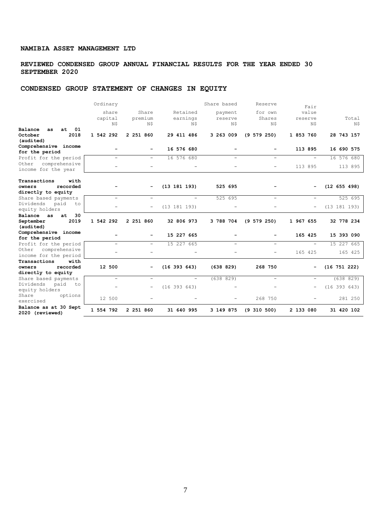## **REVIEWED CONDENSED GROUP ANNUAL FINANCIAL RESULTS FOR THE YEAR ENDED 30 SEPTEMBER 2020**

## **CONDENSED GROUP STATEMENT OF CHANGES IN EQUITY**

|                                             | Ordinary                 |                          |                          | Share based              | Reserve                  | Fair                         |                  |
|---------------------------------------------|--------------------------|--------------------------|--------------------------|--------------------------|--------------------------|------------------------------|------------------|
|                                             | share                    | Share                    | Retained                 | payment                  | for own                  | value                        |                  |
|                                             | capital                  | premium                  | earnings                 | reserve                  | Shares                   | reserve                      | Total            |
|                                             | Ν\$                      | N\$                      | N\$                      | N\$                      | N\$                      | N\$                          | N\$              |
| $at$ 01<br>Balance<br>as<br>2018<br>October | 1 542 292                | 2 251 860                | 29 411 486               | 3 263 009                | $(9\ 579\ 250)$          | 1 853 760                    | 28 743 157       |
| (audited)                                   |                          |                          |                          |                          |                          |                              |                  |
| Comprehensive income                        |                          |                          |                          |                          |                          |                              |                  |
| for the period                              |                          |                          | 16 576 680               |                          |                          | 113 895                      | 16 690 575       |
| Profit for the period                       | $\overline{\phantom{0}}$ | $\overline{\phantom{0}}$ | 16 576 680               | $\overline{\phantom{0}}$ | $\overline{\phantom{0}}$ | $\equiv$                     | 16 576 680       |
| comprehensive<br>Other                      | ÷,                       | $\overline{a}$           |                          |                          |                          | 113 895                      | 113 895          |
| income for the year                         |                          |                          |                          |                          |                          |                              |                  |
| with<br>Transactions                        |                          |                          |                          |                          |                          |                              |                  |
| recorded<br>owners                          |                          |                          | (13 181 193)             | 525 695                  |                          | $\qquad \qquad \blacksquare$ | (12 655 498)     |
| directly to equity                          |                          |                          |                          |                          |                          |                              |                  |
| Share based payments                        | $\equiv$                 | $\overline{\phantom{0}}$ | $\equiv$                 | 525 695                  | $\equiv$                 | $\overline{\phantom{a}}$     | 525 695          |
| Dividends<br>paid<br>to                     |                          | -                        | (13 181 193)             |                          |                          | $\qquad \qquad -$            | (13 181 193)     |
| equity holders                              |                          |                          |                          |                          |                          |                              |                  |
| 30<br>Balance as<br>at<br>2019<br>September | 1 542 292                | 2 251 860                | 32 806 973               | 3 788 704                | (9 579 250)              | 1 967 655                    | 32 778 234       |
| (audited)                                   |                          |                          |                          |                          |                          |                              |                  |
| Comprehensive income                        |                          |                          |                          |                          |                          |                              |                  |
| for the period                              |                          |                          | 15 227 665               |                          |                          | 165 425                      | 15 393 090       |
| Profit for the period                       | $\overline{\phantom{a}}$ | $\overline{\phantom{0}}$ | 15 227 665               | -                        | -                        | $\overline{\phantom{a}}$     | 15 227 665       |
| comprehensive<br>Other                      |                          |                          |                          |                          |                          | 165 425                      | 165 425          |
| income for the period                       |                          |                          |                          |                          |                          |                              |                  |
| Transactions<br>with<br>recorded<br>owners  | 12 500                   |                          |                          |                          | 268 750                  |                              |                  |
| directly to equity                          |                          |                          | (16 393 643)             | (638 829)                |                          | -                            | $(16\ 751\ 222)$ |
| Share based payments                        | $\overline{\phantom{0}}$ | -                        | $\overline{\phantom{a}}$ | (638 829)                | $\overline{\phantom{0}}$ | $\overline{\phantom{m}}$     | (638 829)        |
| Dividends<br>paid<br>to                     |                          |                          |                          |                          |                          |                              |                  |
| equity holders                              |                          | -                        | (16 393 643)             |                          |                          | $\qquad \qquad -$            | (16 393 643)     |
| Share<br>options<br>exercised               | 12 500                   |                          |                          |                          | 268 750                  |                              | 281 250          |
| Balance as at 30 Sept<br>2020 (reviewed)    | 1 554 792                | 2 251 860                | 31 640 995               | 3 149 875                | $(9\ 310\ 500)$          | 2 133 080                    | 31 420 102       |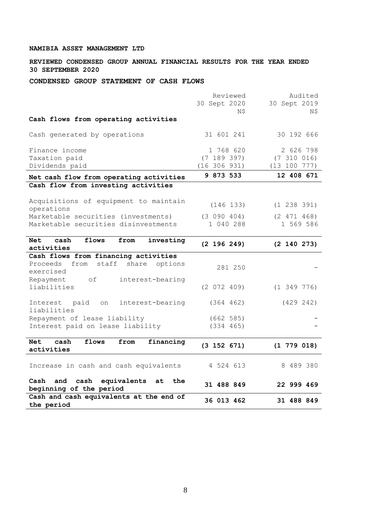**REVIEWED CONDENSED GROUP ANNUAL FINANCIAL RESULTS FOR THE YEAR ENDED 30 SEPTEMBER 2020**

**CONDENSED GROUP STATEMENT OF CASH FLOWS**

|                                                                | Reviewed        | Audited         |
|----------------------------------------------------------------|-----------------|-----------------|
|                                                                | 30 Sept 2020    | 30 Sept 2019    |
|                                                                | N\$             | N\$             |
| Cash flows from operating activities                           |                 |                 |
| Cash generated by operations                                   | 31 601 241      | 30 192 666      |
| Finance income                                                 | 1 768 620       | 2 626 798       |
| Taxation paid                                                  | (7 189 397)     | (7 310 016)     |
| Dividends paid                                                 | (16 306 931)    | (13 100 777)    |
| Net cash flow from operating activities                        | 9 873 533       | 12 408 671      |
| Cash flow from investing activities                            |                 |                 |
| Acquisitions of equipment to maintain<br>operations            | (146 133)       | (1 238 391)     |
| Marketable securities (investments)                            | (3 090 404)     | (2 471 468)     |
| Marketable securities disinvestments                           | 1 040 288       | 1 569 586       |
|                                                                |                 |                 |
| cash<br>flows<br><b>Net</b><br>from<br>investing<br>activities | (2 196 249)     | $(2\;140\;273)$ |
| Cash flows from financing activities                           |                 |                 |
| Proceeds<br>from<br>staff<br>share options                     |                 |                 |
| exercised                                                      | 281 250         |                 |
| Repayment<br>of<br>interest-bearing                            |                 |                 |
| liabilities                                                    | (2 072 409)     | $(1\;349\;776)$ |
|                                                                |                 |                 |
| paid<br>interest-bearing<br>Interest<br>on                     | (364 462)       | (429 242)       |
| liabilities                                                    |                 |                 |
| Repayment of lease liability                                   | (662 585)       |                 |
| Interest paid on lease liability                               | (334 465)       |                 |
| <b>Net</b><br>cash<br>flows<br>from<br>financing               |                 |                 |
| activities                                                     | $(3\ 152\ 671)$ | $(1\ 779\ 018)$ |
|                                                                |                 |                 |
| Increase in cash and cash equivalents                          | 4 524 613       | 8 489 380       |
| Cash<br>and<br>cash<br>equivalents<br>the<br>at                | 31 488 849      | 22 999 469      |
| beginning of the period                                        |                 |                 |
| Cash and cash equivalents at the end of<br>the period          | 36 013 462      | 31 488 849      |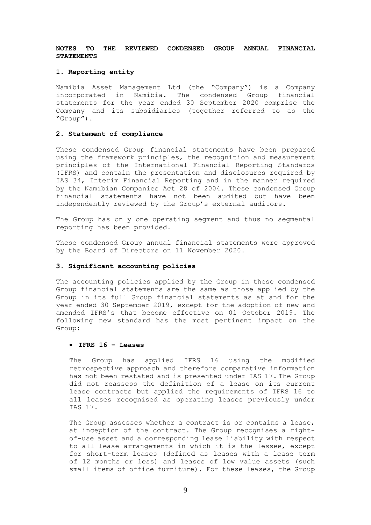## **NOTES TO THE REVIEWED CONDENSED GROUP ANNUAL FINANCIAL STATEMENTS**

### **1. Reporting entity**

Namibia Asset Management Ltd (the "Company") is a Company incorporated in Namibia. The condensed Group financial statements for the year ended 30 September 2020 comprise the Company and its subsidiaries (together referred to as the "Group").

## **2. Statement of compliance**

These condensed Group financial statements have been prepared using the framework principles, the recognition and measurement principles of the International Financial Reporting Standards (IFRS) and contain the presentation and disclosures required by IAS 34, Interim Financial Reporting and in the manner required by the Namibian Companies Act 28 of 2004. These condensed Group financial statements have not been audited but have been independently reviewed by the Group's external auditors.

The Group has only one operating segment and thus no segmental reporting has been provided.

These condensed Group annual financial statements were approved by the Board of Directors on 11 November 2020.

## **3. Significant accounting policies**

The accounting policies applied by the Group in these condensed Group financial statements are the same as those applied by the Group in its full Group financial statements as at and for the year ended 30 September 2019, except for the adoption of new and amended IFRS's that become effective on 01 October 2019. The following new standard has the most pertinent impact on the Group:

### • **IFRS 16 – Leases**

The Group has applied IFRS 16 using the modified retrospective approach and therefore comparative information has not been restated and is presented under IAS 17. The Group did not reassess the definition of a lease on its current lease contracts but applied the requirements of IFRS 16 to all leases recognised as operating leases previously under IAS 17.

The Group assesses whether a contract is or contains a lease, at inception of the contract. The Group recognises a rightof-use asset and a corresponding lease liability with respect to all lease arrangements in which it is the lessee, except for short-term leases (defined as leases with a lease term of 12 months or less) and leases of low value assets (such small items of office furniture). For these leases, the Group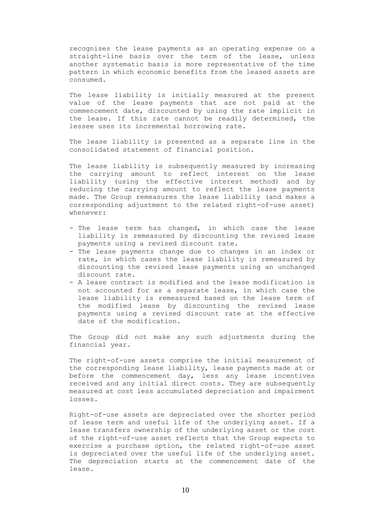recognises the lease payments as an operating expense on a straight-line basis over the term of the lease, unless another systematic basis is more representative of the time pattern in which economic benefits from the leased assets are consumed.

The lease liability is initially measured at the present value of the lease payments that are not paid at the commencement date, discounted by using the rate implicit in the lease. If this rate cannot be readily determined, the lessee uses its incremental borrowing rate.

The lease liability is presented as a separate line in the consolidated statement of financial position.

The lease liability is subsequently measured by increasing the carrying amount to reflect interest on the lease liability (using the effective interest method) and by reducing the carrying amount to reflect the lease payments made. The Group remeasures the lease liability (and makes a corresponding adjustment to the related right-of-use asset) whenever:

- The lease term has changed, in which case the lease liability is remeasured by discounting the revised lease payments using a revised discount rate.
- The lease payments change due to changes in an index or rate, in which cases the lease liability is remeasured by discounting the revised lease payments using an unchanged discount rate.
- A lease contract is modified and the lease modification is not accounted for as a separate lease, in which case the lease liability is remeasured based on the lease term of the modified lease by discounting the revised lease payments using a revised discount rate at the effective date of the modification.

The Group did not make any such adjustments during the financial year.

The right-of-use assets comprise the initial measurement of the corresponding lease liability, lease payments made at or before the commencement day, less any lease incentives received and any initial direct costs. They are subsequently measured at cost less accumulated depreciation and impairment losses.

Right-of-use assets are depreciated over the shorter period of lease term and useful life of the underlying asset. If a lease transfers ownership of the underlying asset or the cost of the right-of-use asset reflects that the Group expects to exercise a purchase option, the related right-of-use asset is depreciated over the useful life of the underlying asset. The depreciation starts at the commencement date of the lease.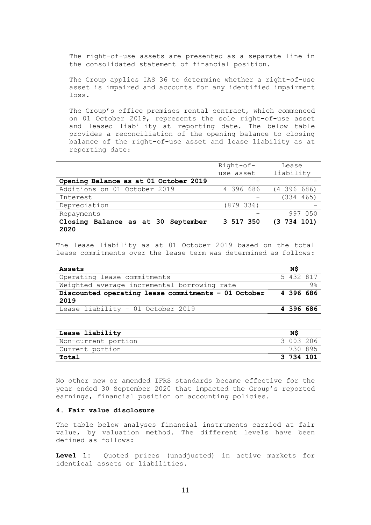The right-of-use assets are presented as a separate line in the consolidated statement of financial position.

The Group applies IAS 36 to determine whether a right-of-use asset is impaired and accounts for any identified impairment loss.

The Group's office premises rental contract, which commenced on 01 October 2019, represents the sole right-of-use asset and leased liability at reporting date. The below table provides a reconciliation of the opening balance to closing balance of the right-of-use asset and lease liability as at reporting date:

|                                            | Right-of- | Lease           |
|--------------------------------------------|-----------|-----------------|
|                                            | use asset | liability       |
| Opening Balance as at 01 October 2019      |           |                 |
| Additions on 01 October 2019               | 4 396 686 | $(4\;396\;686)$ |
| Interest                                   |           | (334 465)       |
| Depreciation                               | (879 336) |                 |
| Repayments                                 |           | 997 050         |
| Closing Balance as at 30 September<br>2020 | 3 517 350 | (3734101)       |

The lease liability as at 01 October 2019 based on the total lease commitments over the lease term was determined as follows:

| Assets                                              | ΝS        |  |
|-----------------------------------------------------|-----------|--|
| Operating lease commitments                         | 5 432 817 |  |
| Weighted average incremental borrowing rate         |           |  |
| Discounted operating lease commitments - 01 October | 4 396 686 |  |
| 2019                                                |           |  |
| Lease liability - 01 October 2019                   | 4 396 686 |  |

| Lease liability     | NS        |  |
|---------------------|-----------|--|
| Non-current portion | 3 003 206 |  |
| Current portion     | 730 895   |  |
| Total               | 3 734 101 |  |

No other new or amended IFRS standards became effective for the year ended 30 September 2020 that impacted the Group's reported earnings, financial position or accounting policies.

## **4. Fair value disclosure**

The table below analyses financial instruments carried at fair value, by valuation method. The different levels have been defined as follows:

**Level 1:** Quoted prices (unadjusted) in active markets for identical assets or liabilities.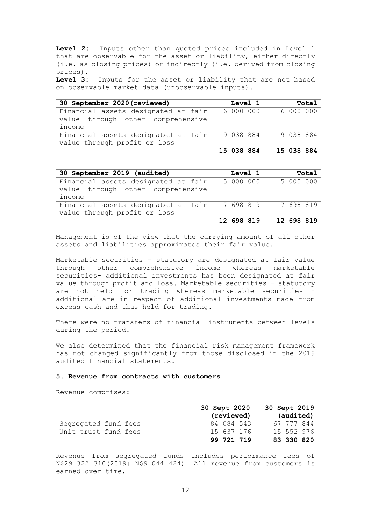**Level 2:** Inputs other than quoted prices included in Level 1 that are observable for the asset or liability, either directly (i.e. as closing prices) or indirectly (i.e. derived from closing prices).

**Level 3:** Inputs for the asset or liability that are not based on observable market data (unobservable inputs).

| 30 September 2020 (reviewed)        | Level 1    | Total      |
|-------------------------------------|------------|------------|
| Financial assets designated at fair | 6 000 000  | 6000000    |
| value through other comprehensive   |            |            |
| income                              |            |            |
| Financial assets designated at fair | 9 038 884  | 9 038 884  |
| value through profit or loss        |            |            |
|                                     | 15 038 884 | 15 038 884 |

| 30 September 2019 (audited)         |            | Level 1 |                     |            | Total |
|-------------------------------------|------------|---------|---------------------|------------|-------|
| Financial assets designated at fair | 5 000 000  |         |                     | 5 000 000  |       |
| value through other comprehensive   |            |         |                     |            |       |
| income                              |            |         |                     |            |       |
| Financial assets designated at fair |            |         | 7 698 819 7 698 819 |            |       |
| value through profit or loss        |            |         |                     |            |       |
|                                     | 12 698 819 |         |                     | 12 698 819 |       |

Management is of the view that the carrying amount of all other assets and liabilities approximates their fair value.

Marketable securities – statutory are designated at fair value through other comprehensive income whereas marketable securities- additional investments has been designated at fair value through profit and loss. Marketable securities - statutory are not held for trading whereas marketable securities – additional are in respect of additional investments made from excess cash and thus held for trading.

There were no transfers of financial instruments between levels during the period.

We also determined that the financial risk management framework has not changed significantly from those disclosed in the 2019 audited financial statements.

### **5. Revenue from contracts with customers**

Revenue comprises:

|                      | 30 Sept 2020 | 30 Sept 2019 |
|----------------------|--------------|--------------|
|                      | (reviewed)   | (audited)    |
| Segregated fund fees | 84 084 543   | 67 777 844   |
| Unit trust fund fees | 15 637 176   | 15 552 976   |
|                      | 99 721 719   | 83 330 820   |

Revenue from segregated funds includes performance fees of N\$29 322 310(2019: N\$9 044 424). All revenue from customers is earned over time.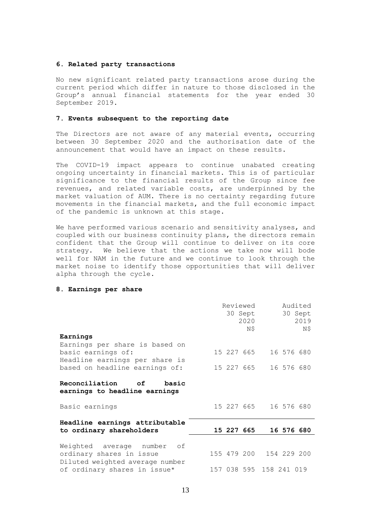## **6. Related party transactions**

No new significant related party transactions arose during the current period which differ in nature to those disclosed in the Group's annual financial statements for the year ended 30 September 2019.

## **7. Events subsequent to the reporting date**

The Directors are not aware of any material events, occurring between 30 September 2020 and the authorisation date of the announcement that would have an impact on these results.

The COVID-19 impact appears to continue unabated creating ongoing uncertainty in financial markets. This is of particular significance to the financial results of the Group since fee revenues, and related variable costs, are underpinned by the market valuation of AUM. There is no certainty regarding future movements in the financial markets, and the full economic impact of the pandemic is unknown at this stage.

We have performed various scenario and sensitivity analyses, and coupled with our business continuity plans, the directors remain confident that the Group will continue to deliver on its core strategy. We believe that the actions we take now will bode well for NAM in the future and we continue to look through the market noise to identify those opportunities that will deliver alpha through the cycle.

## **8. Earnings per share**

| Earnings                                                                                  |  | Reviewed<br>2020<br>N\$ | 30 Sept                 |            | Audited<br>30 Sept<br>2019<br>N\$ |
|-------------------------------------------------------------------------------------------|--|-------------------------|-------------------------|------------|-----------------------------------|
| Earnings per share is based on<br>basic earnings of:<br>Headline earnings per share is    |  | 15 227 665              |                         | 16 576 680 |                                   |
| based on headline earnings of:                                                            |  | 15 227 665              |                         | 16 576 680 |                                   |
| Reconciliation of basic<br>earnings to headline earnings                                  |  |                         |                         |            |                                   |
| Basic earnings                                                                            |  | 15 227 665              |                         | 16 576 680 |                                   |
| Headline earnings attributable<br>to ordinary shareholders                                |  | 15 227 665              |                         | 16 576 680 |                                   |
| Weighted average number of<br>ordinary shares in issue<br>Diluted weighted average number |  |                         | 155 479 200 154 229 200 |            |                                   |
| of ordinary shares in issue*                                                              |  |                         | 157 038 595 158 241 019 |            |                                   |